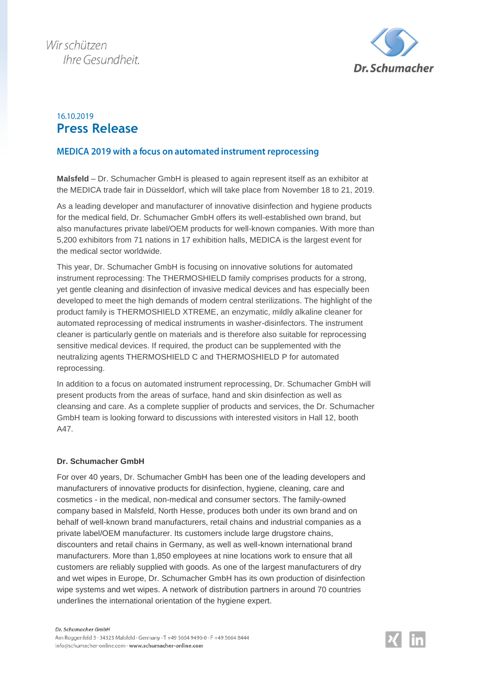

## 16 10 2019 **Press Release**

## MEDICA 2019 with a focus on automated instrument reprocessing

**Malsfeld** – Dr. Schumacher GmbH is pleased to again represent itself as an exhibitor at the MEDICA trade fair in Düsseldorf, which will take place from November 18 to 21, 2019.

As a leading developer and manufacturer of innovative disinfection and hygiene products for the medical field, Dr. Schumacher GmbH offers its well-established own brand, but also manufactures private label/OEM products for well-known companies. With more than 5,200 exhibitors from 71 nations in 17 exhibition halls, MEDICA is the largest event for the medical sector worldwide.

This year, Dr. Schumacher GmbH is focusing on innovative solutions for automated instrument reprocessing: The THERMOSHIELD family comprises products for a strong, yet gentle cleaning and disinfection of invasive medical devices and has especially been developed to meet the high demands of modern central sterilizations. The highlight of the product family is THERMOSHIELD XTREME, an enzymatic, mildly alkaline cleaner for automated reprocessing of medical instruments in washer-disinfectors. The instrument cleaner is particularly gentle on materials and is therefore also suitable for reprocessing sensitive medical devices. If required, the product can be supplemented with the neutralizing agents THERMOSHIELD C and THERMOSHIELD P for automated reprocessing.

In addition to a focus on automated instrument reprocessing, Dr. Schumacher GmbH will present products from the areas of surface, hand and skin disinfection as well as cleansing and care. As a complete supplier of products and services, the Dr. Schumacher GmbH team is looking forward to discussions with interested visitors in Hall 12, booth A47.

## **Dr. Schumacher GmbH**

For over 40 years, Dr. Schumacher GmbH has been one of the leading developers and manufacturers of innovative products for disinfection, hygiene, cleaning, care and cosmetics - in the medical, non-medical and consumer sectors. The family-owned company based in Malsfeld, North Hesse, produces both under its own brand and on behalf of well-known brand manufacturers, retail chains and industrial companies as a private label/OEM manufacturer. Its customers include large drugstore chains, discounters and retail chains in Germany, as well as well-known international brand manufacturers. More than 1,850 employees at nine locations work to ensure that all customers are reliably supplied with goods. As one of the largest manufacturers of dry and wet wipes in Europe, Dr. Schumacher GmbH has its own production of disinfection wipe systems and wet wipes. A network of distribution partners in around 70 countries underlines the international orientation of the hygiene expert.